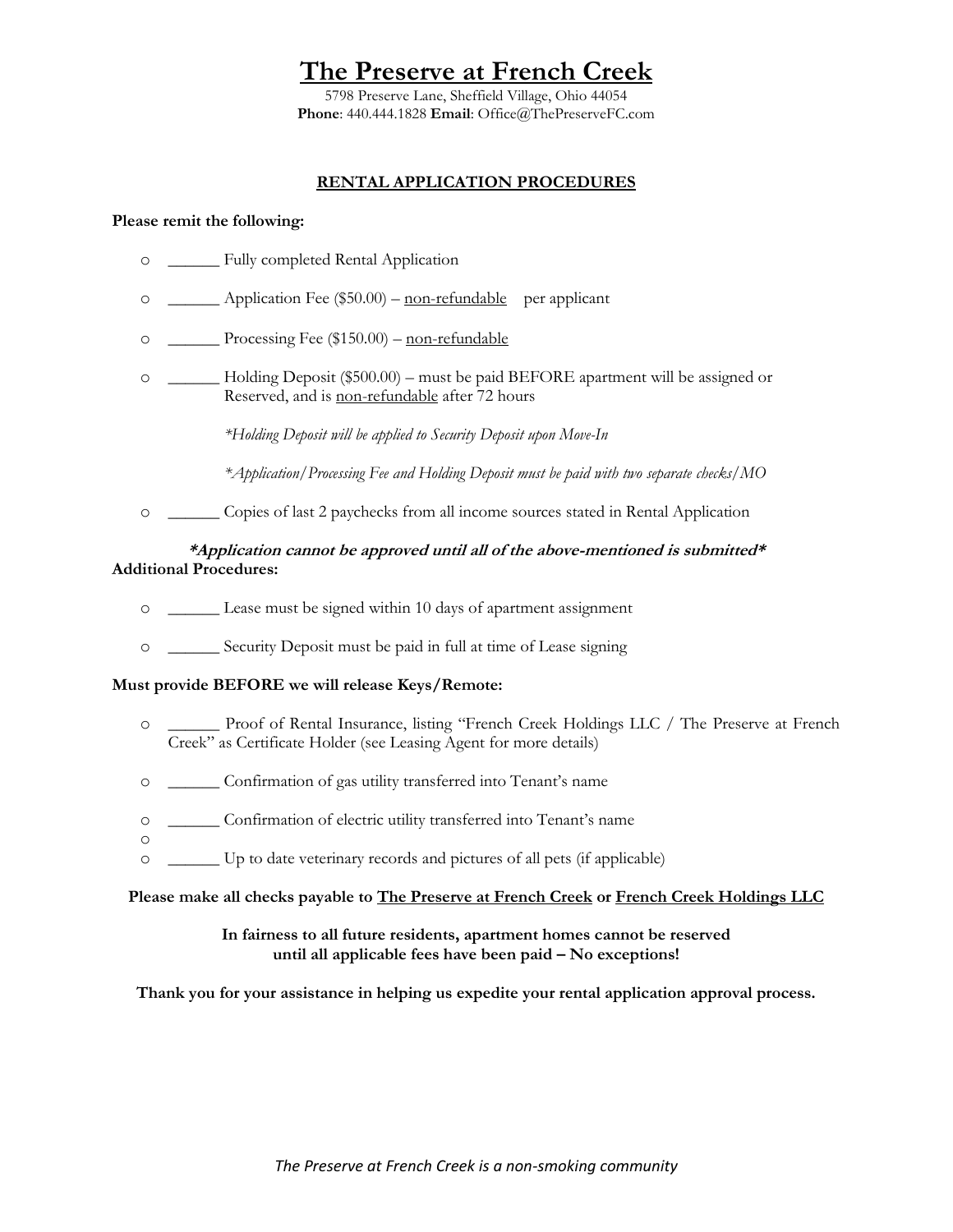5798 Preserve Lane, Sheffield Village, Ohio 44054 **Phone**: 440.444.1828 **Email**: Office@ThePreserveFC.com

### **RENTAL APPLICATION PROCEDURES**

#### **Please remit the following:**

o

- o \_\_\_\_\_\_ Fully completed Rental Application
- o \_\_\_\_\_\_ Application Fee (\$50.00) non-refundable per applicant
- o \_\_\_\_\_\_ Processing Fee (\$150.00) non-refundable
- o \_\_\_\_\_\_ Holding Deposit (\$500.00) must be paid BEFORE apartment will be assigned or Reserved, and is non-refundable after 72 hours

*\*Holding Deposit will be applied to Security Deposit upon Move-In*

*\*Application/Processing Fee and Holding Deposit must be paid with two separate checks/MO*

o \_\_\_\_\_\_ Copies of last 2 paychecks from all income sources stated in Rental Application

### **\*Application cannot be approved until all of the above-mentioned is submitted\* Additional Procedures:**

- o \_\_\_\_\_\_ Lease must be signed within 10 days of apartment assignment
- o \_\_\_\_\_\_ Security Deposit must be paid in full at time of Lease signing

#### **Must provide BEFORE we will release Keys/Remote:**

- o \_\_\_\_\_\_ Proof of Rental Insurance, listing "French Creek Holdings LLC / The Preserve at French Creek" as Certificate Holder (see Leasing Agent for more details)
- o \_\_\_\_\_\_ Confirmation of gas utility transferred into Tenant's name
- o \_\_\_\_\_\_ Confirmation of electric utility transferred into Tenant's name
- o \_\_\_\_\_\_ Up to date veterinary records and pictures of all pets (if applicable)

#### **Please make all checks payable to The Preserve at French Creek or French Creek Holdings LLC**

#### **In fairness to all future residents, apartment homes cannot be reserved until all applicable fees have been paid – No exceptions!**

**Thank you for your assistance in helping us expedite your rental application approval process.**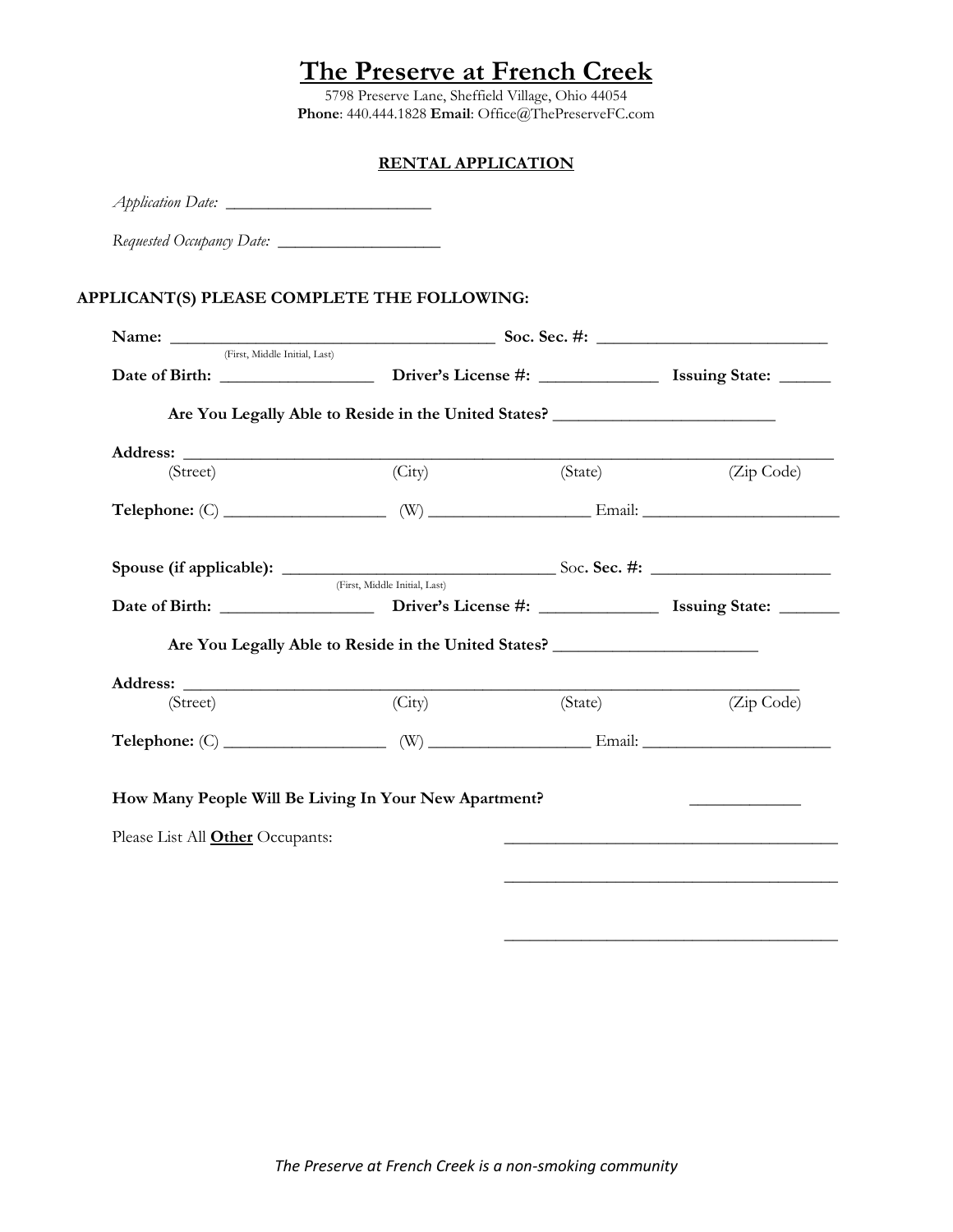5798 Preserve Lane, Sheffield Village, Ohio 44054 **Phone**: 440.444.1828 **Email**: Office@ThePreserveFC.com

### **RENTAL APPLICATION**

|                                                                                        |                                                                                   | Name: <u>CFirst, Middle Initial, Last</u> Soc. Sec. #: <u>CHANGE CONSECT</u> |            |  |  |
|----------------------------------------------------------------------------------------|-----------------------------------------------------------------------------------|------------------------------------------------------------------------------|------------|--|--|
|                                                                                        |                                                                                   |                                                                              |            |  |  |
|                                                                                        | Are You Legally Able to Reside in the United States?                              |                                                                              |            |  |  |
|                                                                                        |                                                                                   |                                                                              |            |  |  |
| (Street)                                                                               | (City)                                                                            | (State) (Zip Code)                                                           |            |  |  |
| $\textbf{Telephone: (C)}$ $\qquad \qquad \textbf{(W)}$ $\qquad \qquad \textbf{Email:}$ |                                                                                   |                                                                              |            |  |  |
|                                                                                        |                                                                                   |                                                                              |            |  |  |
|                                                                                        | (First, Middle Initial, Last)                                                     |                                                                              |            |  |  |
|                                                                                        | Are You Legally Able to Reside in the United States? ____________________________ |                                                                              |            |  |  |
| (Street)                                                                               | (City)                                                                            | (State)                                                                      | (Zip Code) |  |  |
| $\textbf{Telephone: (C)}$ $\qquad \qquad \textbf{(W)}$ $\qquad \qquad \textbf{Email:}$ |                                                                                   |                                                                              |            |  |  |

\_\_\_\_\_\_\_\_\_\_\_\_\_\_\_\_\_\_\_\_\_\_\_\_\_\_\_\_\_\_\_\_\_\_\_\_\_\_\_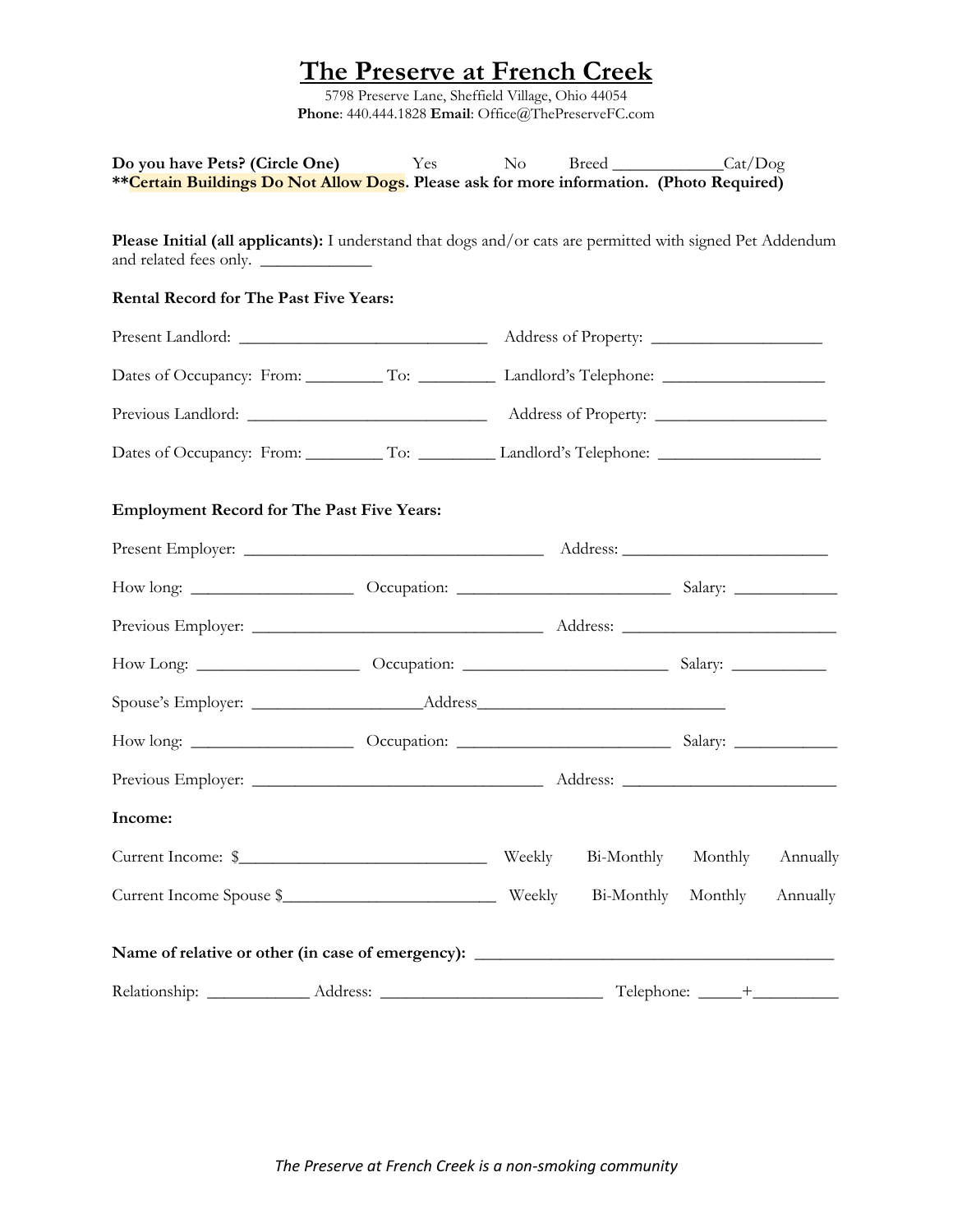5798 Preserve Lane, Sheffield Village, Ohio 44054 **Phone**: 440.444.1828 **Email**: Office@ThePreserveFC.com

| <b>Do you have Pets? (Circle One)</b> Yes No<br>**Certain Buildings Do Not Allow Dogs. Please ask for more information. (Photo Required) |  |        |            | Breed Cat/Dog |          |
|------------------------------------------------------------------------------------------------------------------------------------------|--|--------|------------|---------------|----------|
| Please Initial (all applicants): I understand that dogs and/or cats are permitted with signed Pet Addendum<br>and related fees only.     |  |        |            |               |          |
| Rental Record for The Past Five Years:                                                                                                   |  |        |            |               |          |
|                                                                                                                                          |  |        |            |               |          |
|                                                                                                                                          |  |        |            |               |          |
|                                                                                                                                          |  |        |            |               |          |
| Dates of Occupancy: From: __________ To: __________________Landlord's Telephone: _____________________________                           |  |        |            |               |          |
| <b>Employment Record for The Past Five Years:</b>                                                                                        |  |        |            |               |          |
|                                                                                                                                          |  |        |            |               |          |
|                                                                                                                                          |  |        |            |               |          |
|                                                                                                                                          |  |        |            |               |          |
|                                                                                                                                          |  |        |            |               |          |
|                                                                                                                                          |  |        |            |               |          |
|                                                                                                                                          |  |        |            |               |          |
|                                                                                                                                          |  |        |            |               |          |
| Income:                                                                                                                                  |  |        |            |               |          |
| Current Income: \$                                                                                                                       |  | Weekly | Bi-Monthly | Monthly       | Annually |
|                                                                                                                                          |  |        |            | Monthly       | Annually |
| Name of relative or other (in case of emergency): _______________________________                                                        |  |        |            |               |          |
|                                                                                                                                          |  |        |            |               |          |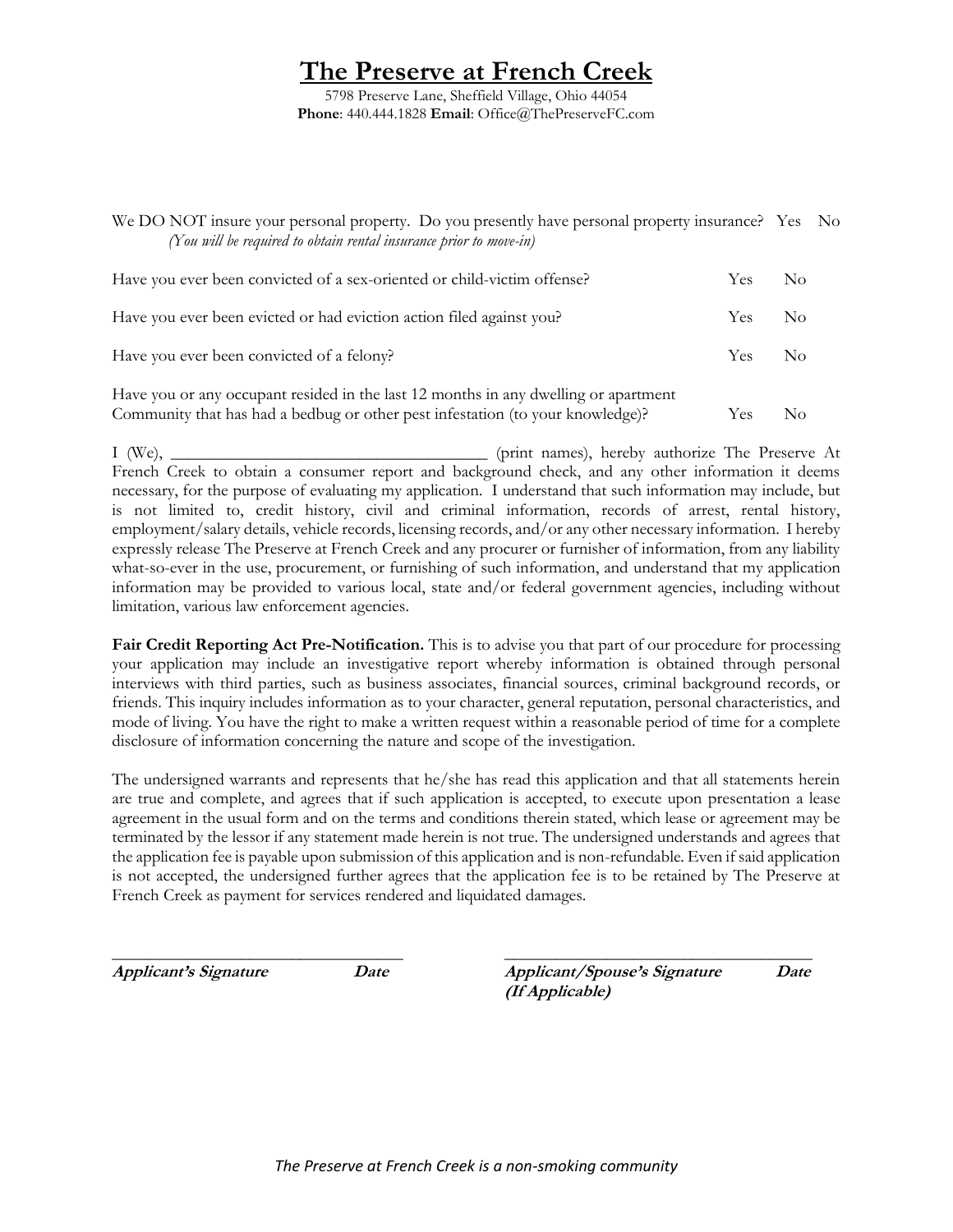5798 Preserve Lane, Sheffield Village, Ohio 44054 **Phone**: 440.444.1828 **Email**: Office@ThePreserveFC.com

We DO NOT insure your personal property. Do you presently have personal property insurance? Yes No *(You will be required to obtain rental insurance prior to move-in)* Have you ever been convicted of a sex-oriented or child-victim offense? Yes No Have you ever been evicted or had eviction action filed against you? Yes No Have you ever been convicted of a felony? The Ves No

Have you or any occupant resided in the last 12 months in any dwelling or apartment Community that has had a bedbug or other pest infestation (to your knowledge)? Yes No

I (We), \_\_\_\_\_\_\_\_\_\_\_\_\_\_\_\_\_\_\_\_\_\_\_\_\_\_\_\_\_\_\_\_\_\_\_\_\_ (print names), hereby authorize The Preserve At French Creek to obtain a consumer report and background check, and any other information it deems necessary, for the purpose of evaluating my application. I understand that such information may include, but is not limited to, credit history, civil and criminal information, records of arrest, rental history, employment/salary details, vehicle records, licensing records, and/or any other necessary information. I hereby expressly release The Preserve at French Creek and any procurer or furnisher of information, from any liability what-so-ever in the use, procurement, or furnishing of such information, and understand that my application information may be provided to various local, state and/or federal government agencies, including without limitation, various law enforcement agencies.

**Fair Credit Reporting Act Pre-Notification.** This is to advise you that part of our procedure for processing your application may include an investigative report whereby information is obtained through personal interviews with third parties, such as business associates, financial sources, criminal background records, or friends. This inquiry includes information as to your character, general reputation, personal characteristics, and mode of living. You have the right to make a written request within a reasonable period of time for a complete disclosure of information concerning the nature and scope of the investigation.

The undersigned warrants and represents that he/she has read this application and that all statements herein are true and complete, and agrees that if such application is accepted, to execute upon presentation a lease agreement in the usual form and on the terms and conditions therein stated, which lease or agreement may be terminated by the lessor if any statement made herein is not true. The undersigned understands and agrees that the application fee is payable upon submission of this application and is non-refundable. Even if said application is not accepted, the undersigned further agrees that the application fee is to be retained by The Preserve at French Creek as payment for services rendered and liquidated damages.

\_\_\_\_\_\_\_\_\_\_\_\_\_\_\_\_\_\_\_\_\_\_\_\_\_\_\_\_\_\_\_\_\_\_ \_\_\_\_\_\_\_\_\_\_\_\_\_\_\_\_\_\_\_\_\_\_\_\_\_\_\_\_\_\_\_\_\_\_\_\_ **Applicant's Signature Date Applicant/Spouse's Signature Date (If Applicable)**